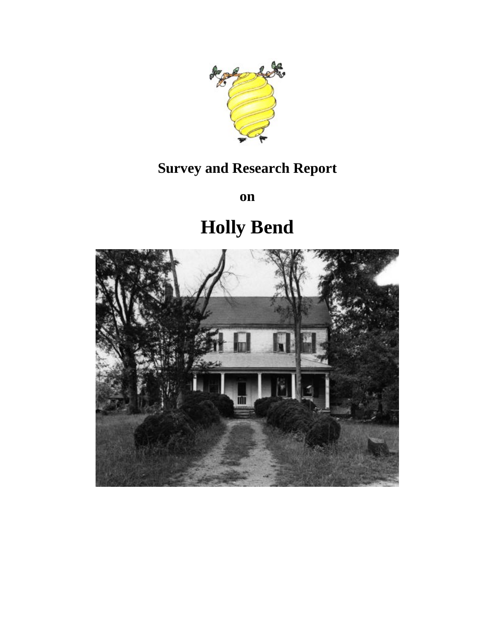

## **Survey and Research Report**

**on**

# **Holly Bend**

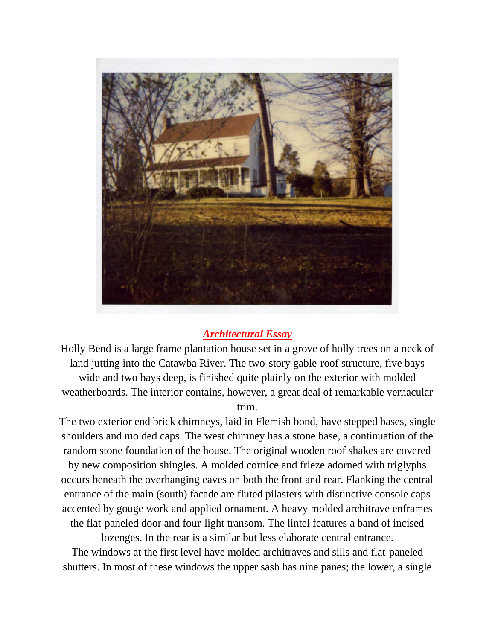

## *Architectural Essay*

Holly Bend is a large frame plantation house set in a grove of holly trees on a neck of land jutting into the Catawba River. The two-story gable-roof structure, five bays wide and two bays deep, is finished quite plainly on the exterior with molded weatherboards. The interior contains, however, a great deal of remarkable vernacular trim.

The two exterior end brick chimneys, laid in Flemish bond, have stepped bases, single shoulders and molded caps. The west chimney has a stone base, a continuation of the random stone foundation of the house. The original wooden roof shakes are covered by new composition shingles. A molded cornice and frieze adorned with triglyphs occurs beneath the overhanging eaves on both the front and rear. Flanking the central entrance of the main (south) facade are fluted pilasters with distinctive console caps accented by gouge work and applied ornament. A heavy molded architrave enframes the flat-paneled door and four-light transom. The lintel features a band of incised

lozenges. In the rear is a similar but less elaborate central entrance.

The windows at the first level have molded architraves and sills and flat-paneled shutters. In most of these windows the upper sash has nine panes; the lower, a single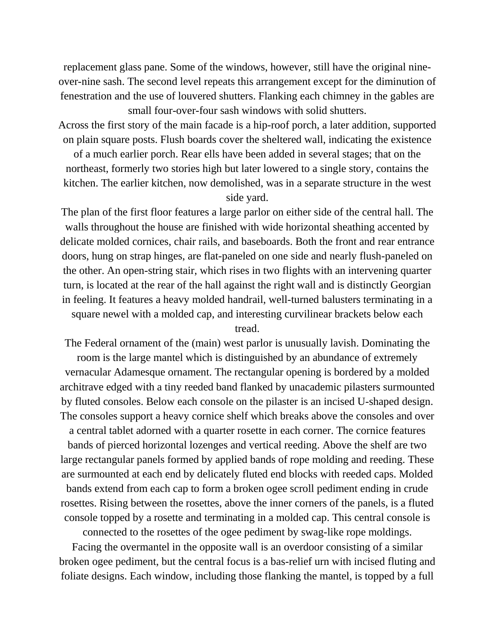replacement glass pane. Some of the windows, however, still have the original nineover-nine sash. The second level repeats this arrangement except for the diminution of fenestration and the use of louvered shutters. Flanking each chimney in the gables are small four-over-four sash windows with solid shutters.

Across the first story of the main facade is a hip-roof porch, a later addition, supported on plain square posts. Flush boards cover the sheltered wall, indicating the existence

of a much earlier porch. Rear ells have been added in several stages; that on the northeast, formerly two stories high but later lowered to a single story, contains the kitchen. The earlier kitchen, now demolished, was in a separate structure in the west

## side yard.

The plan of the first floor features a large parlor on either side of the central hall. The walls throughout the house are finished with wide horizontal sheathing accented by delicate molded cornices, chair rails, and baseboards. Both the front and rear entrance doors, hung on strap hinges, are flat-paneled on one side and nearly flush-paneled on the other. An open-string stair, which rises in two flights with an intervening quarter turn, is located at the rear of the hall against the right wall and is distinctly Georgian in feeling. It features a heavy molded handrail, well-turned balusters terminating in a square newel with a molded cap, and interesting curvilinear brackets below each

tread.

The Federal ornament of the (main) west parlor is unusually lavish. Dominating the room is the large mantel which is distinguished by an abundance of extremely vernacular Adamesque ornament. The rectangular opening is bordered by a molded architrave edged with a tiny reeded band flanked by unacademic pilasters surmounted by fluted consoles. Below each console on the pilaster is an incised U-shaped design. The consoles support a heavy cornice shelf which breaks above the consoles and over a central tablet adorned with a quarter rosette in each corner. The cornice features bands of pierced horizontal lozenges and vertical reeding. Above the shelf are two large rectangular panels formed by applied bands of rope molding and reeding. These are surmounted at each end by delicately fluted end blocks with reeded caps. Molded bands extend from each cap to form a broken ogee scroll pediment ending in crude rosettes. Rising between the rosettes, above the inner corners of the panels, is a fluted console topped by a rosette and terminating in a molded cap. This central console is

connected to the rosettes of the ogee pediment by swag-like rope moldings.

Facing the overmantel in the opposite wall is an overdoor consisting of a similar broken ogee pediment, but the central focus is a bas-relief urn with incised fluting and foliate designs. Each window, including those flanking the mantel, is topped by a full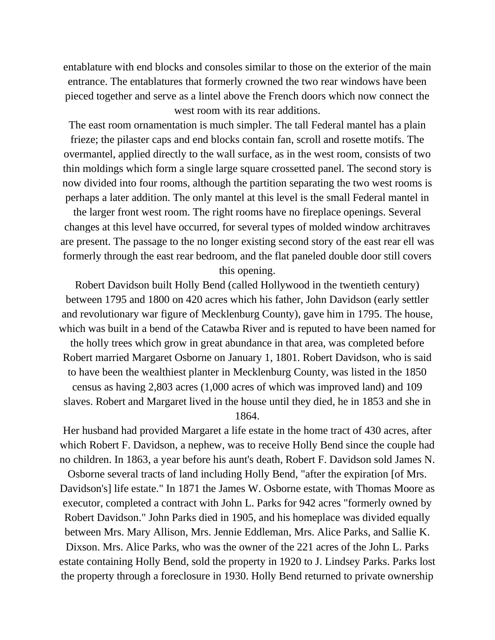entablature with end blocks and consoles similar to those on the exterior of the main entrance. The entablatures that formerly crowned the two rear windows have been pieced together and serve as a lintel above the French doors which now connect the west room with its rear additions.

The east room ornamentation is much simpler. The tall Federal mantel has a plain frieze; the pilaster caps and end blocks contain fan, scroll and rosette motifs. The overmantel, applied directly to the wall surface, as in the west room, consists of two thin moldings which form a single large square crossetted panel. The second story is now divided into four rooms, although the partition separating the two west rooms is perhaps a later addition. The only mantel at this level is the small Federal mantel in

the larger front west room. The right rooms have no fireplace openings. Several changes at this level have occurred, for several types of molded window architraves are present. The passage to the no longer existing second story of the east rear ell was formerly through the east rear bedroom, and the flat paneled double door still covers this opening.

Robert Davidson built Holly Bend (called Hollywood in the twentieth century) between 1795 and 1800 on 420 acres which his father, John Davidson (early settler and revolutionary war figure of Mecklenburg County), gave him in 1795. The house, which was built in a bend of the Catawba River and is reputed to have been named for the holly trees which grow in great abundance in that area, was completed before Robert married Margaret Osborne on January 1, 1801. Robert Davidson, who is said to have been the wealthiest planter in Mecklenburg County, was listed in the 1850 census as having 2,803 acres (1,000 acres of which was improved land) and 109 slaves. Robert and Margaret lived in the house until they died, he in 1853 and she in 1864.

Her husband had provided Margaret a life estate in the home tract of 430 acres, after which Robert F. Davidson, a nephew, was to receive Holly Bend since the couple had no children. In 1863, a year before his aunt's death, Robert F. Davidson sold James N.

Osborne several tracts of land including Holly Bend, "after the expiration [of Mrs. Davidson's] life estate." In 1871 the James W. Osborne estate, with Thomas Moore as executor, completed a contract with John L. Parks for 942 acres "formerly owned by Robert Davidson." John Parks died in 1905, and his homeplace was divided equally between Mrs. Mary Allison, Mrs. Jennie Eddleman, Mrs. Alice Parks, and Sallie K. Dixson. Mrs. Alice Parks, who was the owner of the 221 acres of the John L. Parks estate containing Holly Bend, sold the property in 1920 to J. Lindsey Parks. Parks lost the property through a foreclosure in 1930. Holly Bend returned to private ownership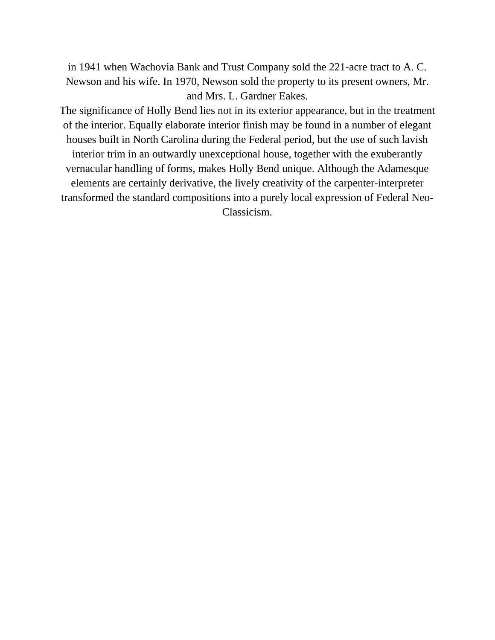in 1941 when Wachovia Bank and Trust Company sold the 221-acre tract to A. C. Newson and his wife. In 1970, Newson sold the property to its present owners, Mr. and Mrs. L. Gardner Eakes.

The significance of Holly Bend lies not in its exterior appearance, but in the treatment of the interior. Equally elaborate interior finish may be found in a number of elegant houses built in North Carolina during the Federal period, but the use of such lavish interior trim in an outwardly unexceptional house, together with the exuberantly vernacular handling of forms, makes Holly Bend unique. Although the Adamesque elements are certainly derivative, the lively creativity of the carpenter-interpreter transformed the standard compositions into a purely local expression of Federal Neo-Classicism.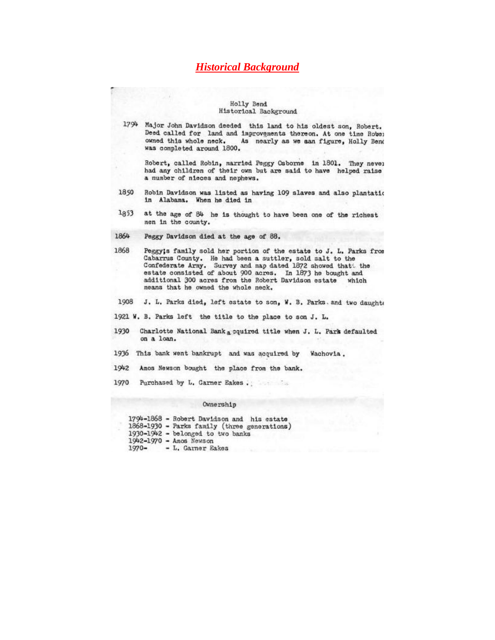### **Historical Background**

#### Holly Bend Historical Background

1794 Major John Davidson deeded this land to his oldest son, Robert. Deed called for land and improvements thereon. At one time Rober owned this whole neck. As nearly as we aan figure, Holly Bend was completed around 1800.

Robert, called Robin, married Peggy Osborne in 1801. They never had any children of their own but are said to have helped raise a number of nieces and nephews.

- 1850 Robin Davidson was listed as having 109 slaves and also plantation in Alabama. When he died in
- $1853$ at the age of 84 he is thought to have been one of the richest men in the county.
- 1864 Peggy Davidson died at the age of 88.
- 1868 Peggy;s family sold her portion of the estate to J. L. Parks from Cabarrus County. He had been a suttler, sold salt to the Confederate Army. Survey and map dated 1872 showed that the estate consisted of about 900 acres. In 1873 he bought and additional 300 acres from the Robert Davidson estate which means that he owned the whole neck.
- 1908 J. L. Parks died, left estate to son, W. B. Parks. and two daughte
- 1921 W. B. Parks left the title to the place to son J. L.
- 1930 Charlotte National Bank a cquired title when J. L. Park defaulted on a loan.
- 1936 This bank went bankrupt and was acquired by Wachovia.
- 1942 Amos Newson bought the place from the bank.
- 

#### Ownership

1794-1868 - Robert Davidson and his estate 1868-1930 - Parks family (three generations) 1930-1942 - belonged to two banks 1942-1970 - Amos Newson  $1970 -$ - L. Garner Eakes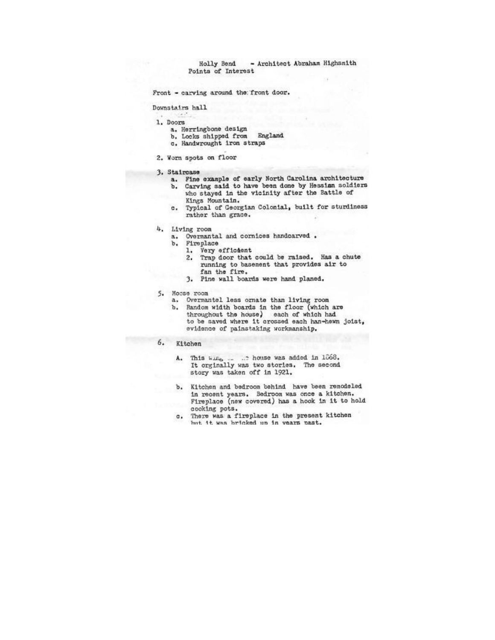- Architect Abraham Highsmith Holly Bend Points of Interest

Front - carving around the front door.

Downstairs hall

- 1. Doors
	- a. Herringbone design
	- b. Locks shipped from England
	- c. Handwrought iron straps
- 2. Worn spots on floor

#### 3. Staircase

- a. Fine example of early North Carolina architecture Carving said to have been done by Hessian soldiers b.
- who stayed in the vicinity after the Battle of Kings Mountain.
- c. Typical of Georgian Colonial, built for sturdiness rather than grace.
- 4. Living room
	- a. Overmantal and cornices handcarved.
	- b. Fireplace
		- Very efficient ı.
			- Trap door that could be raised. Has a chute 2. running to basement that provides air to<br>fan the fire.
		- 3. Pine wall boards were hand planed.
- 5. Moose room
	-
	- a. Overmantel less ornate than living room<br>b. Random width boards in the floor (which are throughout the house) each of which had to be saved where it crossed each han-hewn joist, evidence of painstaking workmanship.
- $6.$ Kitchen
	- This  $w_{\text{min}} = 0.2$  house was added in 1068.<br>It orginally was two stories. The second A. story was taken off in 1921.
	- b. Kitchen and bedroom behind have been remodeled in recent years. Bedroom was once a kitchen. Fireplace (new covered) has a hook in it to hold cooking pots.
	- c. There was a fireplace in the present kitchen but it was bricked up in years past.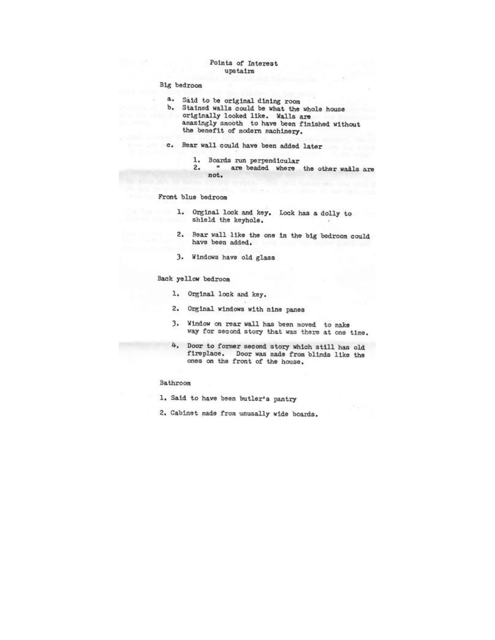#### Points of Interest upstairs

#### Big bedroom

- Said to be original dining room a.
- b. Stained walls could be what the whole house originally looked like. Walls are amazingly smooth to have been finished without the benefit of modern machinery.
- c. Rear wall could have been added later
	- 1. Boards run perpendicular
	- $\blacksquare$ are beaded where the other walls are  $2.$ not.

#### Front blue bedroom

- 1. Orginal lock and key. Lock has a dolly to shield the keyhole.
- Rear wall like the one in the big bedroom could  $2.$ have been added.
- 3. Windows have old glass

#### Back yellow bedroom

- 1. Orginal lock and key.
- 2. Orginal windows with nine panes
- 3. Window on rear wall has been moved to make way for second story that was there at one time.
- 4. Door to former second story which still has old fireplace. Door was made from blinds like the ones on the front of the house.

#### Bathroom

- 1. Said to have been butler's pantry
- 2. Cabinet made from unusally wide boards.